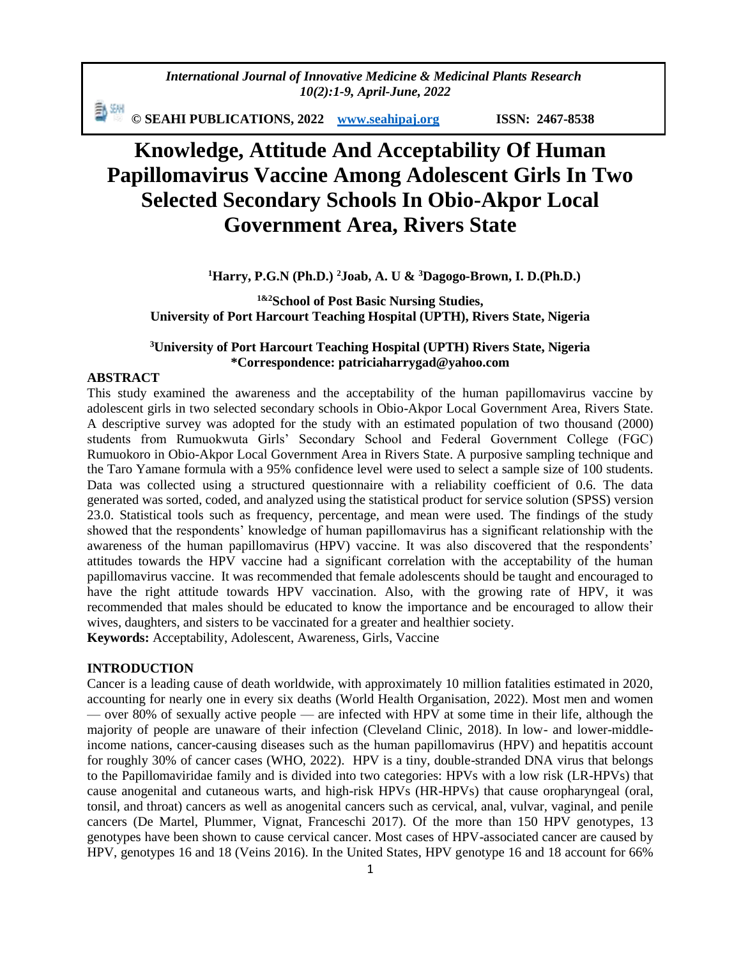*International Journal of Innovative Medicine & Medicinal Plants Research 10(2):1-9, April-June, 2022*

動洲 **© SEAHI PUBLICATIONS, 2022 [www.seahipaj.org](http://www.seahipaj.org/) ISSN: 2467-8538**

# **Knowledge, Attitude And Acceptability Of Human Papillomavirus Vaccine Among Adolescent Girls In Two Selected Secondary Schools In Obio-Akpor Local Government Area, Rivers State**

**<sup>1</sup>Harry, P.G.N (Ph.D.) <sup>2</sup>Joab, A. U & <sup>3</sup>Dagogo-Brown, I. D.(Ph.D.)**

**1&2School of Post Basic Nursing Studies, University of Port Harcourt Teaching Hospital (UPTH), Rivers State, Nigeria**

## **<sup>3</sup>University of Port Harcourt Teaching Hospital (UPTH) Rivers State, Nigeria \*Correspondence: patriciaharrygad@yahoo.com**

## **ABSTRACT**

This study examined the awareness and the acceptability of the human papillomavirus vaccine by adolescent girls in two selected secondary schools in Obio-Akpor Local Government Area, Rivers State. A descriptive survey was adopted for the study with an estimated population of two thousand (2000) students from Rumuokwuta Girls' Secondary School and Federal Government College (FGC) Rumuokoro in Obio-Akpor Local Government Area in Rivers State. A purposive sampling technique and the Taro Yamane formula with a 95% confidence level were used to select a sample size of 100 students. Data was collected using a structured questionnaire with a reliability coefficient of 0.6. The data generated was sorted, coded, and analyzed using the statistical product for service solution (SPSS) version 23.0. Statistical tools such as frequency, percentage, and mean were used. The findings of the study showed that the respondents' knowledge of human papillomavirus has a significant relationship with the awareness of the human papillomavirus (HPV) vaccine. It was also discovered that the respondents' attitudes towards the HPV vaccine had a significant correlation with the acceptability of the human papillomavirus vaccine. It was recommended that female adolescents should be taught and encouraged to have the right attitude towards HPV vaccination. Also, with the growing rate of HPV, it was recommended that males should be educated to know the importance and be encouraged to allow their wives, daughters, and sisters to be vaccinated for a greater and healthier society. **Keywords:** Acceptability, Adolescent, Awareness, Girls, Vaccine

#### **INTRODUCTION**

Cancer is a leading cause of death worldwide, with approximately 10 million fatalities estimated in 2020, accounting for nearly one in every six deaths (World Health Organisation, 2022). Most men and women — over 80% of sexually active people — are infected with HPV at some time in their life, although the majority of people are unaware of their infection (Cleveland Clinic, 2018). In low- and lower-middleincome nations, cancer-causing diseases such as the human papillomavirus (HPV) and hepatitis account for roughly 30% of cancer cases (WHO, 2022). HPV is a tiny, double-stranded DNA virus that belongs to the Papillomaviridae family and is divided into two categories: HPVs with a low risk (LR-HPVs) that cause anogenital and cutaneous warts, and high-risk HPVs (HR-HPVs) that cause oropharyngeal (oral, tonsil, and throat) cancers as well as anogenital cancers such as cervical, anal, vulvar, vaginal, and penile cancers (De Martel, Plummer, Vignat, Franceschi 2017). Of the more than 150 HPV genotypes, 13 genotypes have been shown to cause cervical cancer. Most cases of HPV-associated cancer are caused by HPV, genotypes 16 and 18 (Veins 2016). In the United States, HPV genotype 16 and 18 account for 66%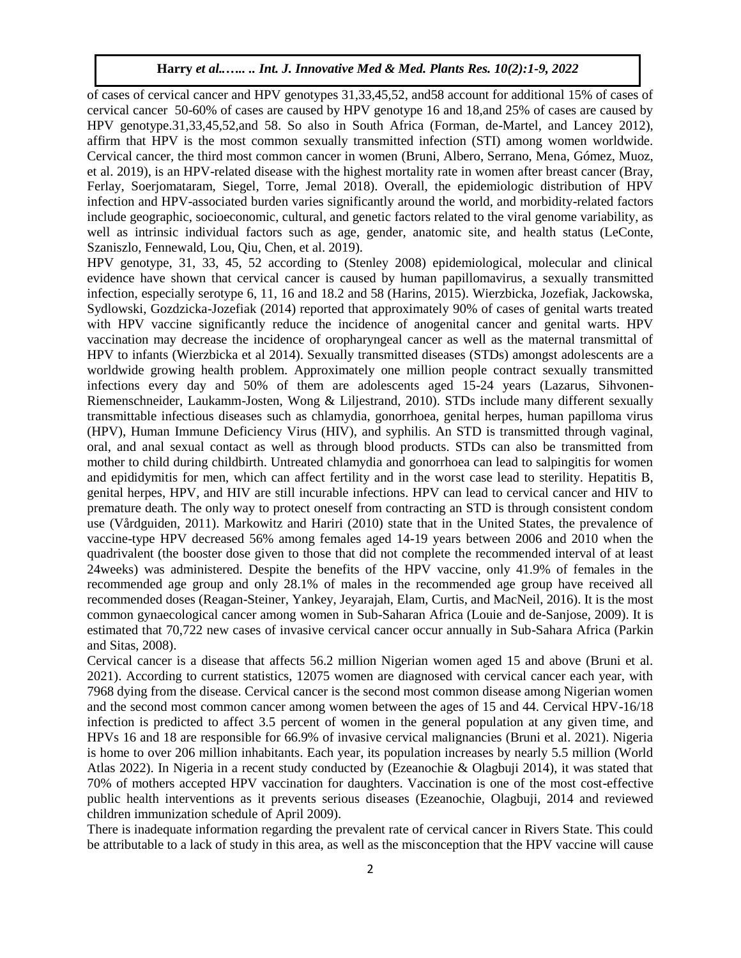of cases of cervical cancer and HPV genotypes 31,33,45,52, and58 account for additional 15% of cases of cervical cancer 50-60% of cases are caused by HPV genotype 16 and 18,and 25% of cases are caused by HPV genotype.31,33,45,52,and 58. So also in South Africa (Forman, de-Martel, and Lancey 2012), affirm that HPV is the most common sexually transmitted infection (STI) among women worldwide. Cervical cancer, the third most common cancer in women (Bruni, Albero, Serrano, Mena, Gómez, Muoz, et al. 2019), is an HPV-related disease with the highest mortality rate in women after breast cancer (Bray, Ferlay, Soerjomataram, Siegel, Torre, Jemal 2018). Overall, the epidemiologic distribution of HPV infection and HPV-associated burden varies significantly around the world, and morbidity-related factors include geographic, socioeconomic, cultural, and genetic factors related to the viral genome variability, as well as intrinsic individual factors such as age, gender, anatomic site, and health status (LeConte, Szaniszlo, Fennewald, Lou, Qiu, Chen, et al. 2019).

HPV genotype, 31, 33, 45, 52 according to (Stenley 2008) epidemiological, molecular and clinical evidence have shown that cervical cancer is caused by human papillomavirus, a sexually transmitted infection, especially serotype 6, 11, 16 and 18.2 and 58 (Harins, 2015). Wierzbicka, Jozefiak, Jackowska, Sydlowski, Gozdzicka-Jozefiak (2014) reported that approximately 90% of cases of genital warts treated with HPV vaccine significantly reduce the incidence of anogenital cancer and genital warts. HPV vaccination may decrease the incidence of oropharyngeal cancer as well as the maternal transmittal of HPV to infants (Wierzbicka et al 2014). Sexually transmitted diseases (STDs) amongst adolescents are a worldwide growing health problem. Approximately one million people contract sexually transmitted infections every day and 50% of them are adolescents aged 15-24 years (Lazarus, Sihvonen-Riemenschneider, Laukamm-Josten, Wong & Liljestrand, 2010). STDs include many different sexually transmittable infectious diseases such as chlamydia, gonorrhoea, genital herpes, human papilloma virus (HPV), Human Immune Deficiency Virus (HIV), and syphilis. An STD is transmitted through vaginal, oral, and anal sexual contact as well as through blood products. STDs can also be transmitted from mother to child during childbirth. Untreated chlamydia and gonorrhoea can lead to salpingitis for women and epididymitis for men, which can affect fertility and in the worst case lead to sterility. Hepatitis B, genital herpes, HPV, and HIV are still incurable infections. HPV can lead to cervical cancer and HIV to premature death. The only way to protect oneself from contracting an STD is through consistent condom use (Vårdguiden, 2011). Markowitz and Hariri (2010) state that in the United States, the prevalence of vaccine-type HPV decreased 56% among females aged 14-19 years between 2006 and 2010 when the quadrivalent (the booster dose given to those that did not complete the recommended interval of at least 24weeks) was administered. Despite the benefits of the HPV vaccine, only 41.9% of females in the recommended age group and only 28.1% of males in the recommended age group have received all recommended doses (Reagan-Steiner, Yankey, Jeyarajah, Elam, Curtis, and MacNeil, 2016). It is the most common gynaecological cancer among women in Sub-Saharan Africa (Louie and de-Sanjose, 2009). It is estimated that 70,722 new cases of invasive cervical cancer occur annually in Sub-Sahara Africa (Parkin and Sitas, 2008).

Cervical cancer is a disease that affects 56.2 million Nigerian women aged 15 and above (Bruni et al. 2021). According to current statistics, 12075 women are diagnosed with cervical cancer each year, with 7968 dying from the disease. Cervical cancer is the second most common disease among Nigerian women and the second most common cancer among women between the ages of 15 and 44. Cervical HPV-16/18 infection is predicted to affect 3.5 percent of women in the general population at any given time, and HPVs 16 and 18 are responsible for 66.9% of invasive cervical malignancies (Bruni et al. 2021). Nigeria is home to over 206 million inhabitants. Each year, its population increases by nearly 5.5 million (World Atlas 2022). In Nigeria in a recent study conducted by (Ezeanochie & Olagbuji 2014), it was stated that 70% of mothers accepted HPV vaccination for daughters. Vaccination is one of the most cost-effective public health interventions as it prevents serious diseases (Ezeanochie, Olagbuji, 2014 and reviewed children immunization schedule of April 2009).

There is inadequate information regarding the prevalent rate of cervical cancer in Rivers State. This could be attributable to a lack of study in this area, as well as the misconception that the HPV vaccine will cause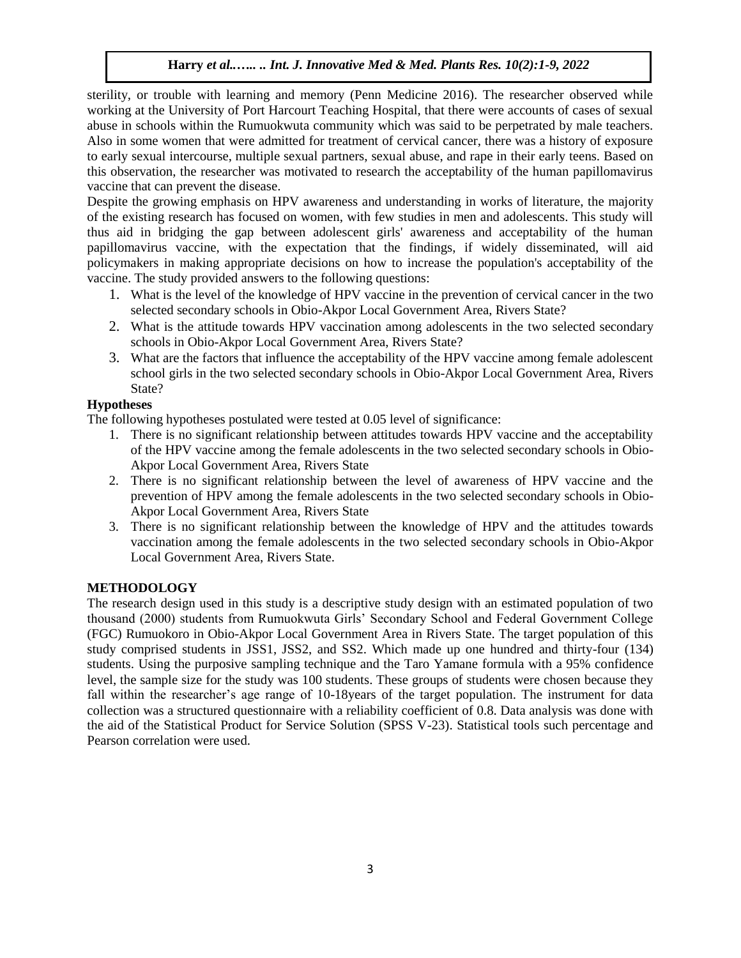sterility, or trouble with learning and memory (Penn Medicine 2016). The researcher observed while working at the University of Port Harcourt Teaching Hospital, that there were accounts of cases of sexual abuse in schools within the Rumuokwuta community which was said to be perpetrated by male teachers. Also in some women that were admitted for treatment of cervical cancer, there was a history of exposure to early sexual intercourse, multiple sexual partners, sexual abuse, and rape in their early teens. Based on this observation, the researcher was motivated to research the acceptability of the human papillomavirus vaccine that can prevent the disease.

Despite the growing emphasis on HPV awareness and understanding in works of literature, the majority of the existing research has focused on women, with few studies in men and adolescents. This study will thus aid in bridging the gap between adolescent girls' awareness and acceptability of the human papillomavirus vaccine, with the expectation that the findings, if widely disseminated, will aid policymakers in making appropriate decisions on how to increase the population's acceptability of the vaccine. The study provided answers to the following questions:

- 1. What is the level of the knowledge of HPV vaccine in the prevention of cervical cancer in the two selected secondary schools in Obio-Akpor Local Government Area, Rivers State?
- 2. What is the attitude towards HPV vaccination among adolescents in the two selected secondary schools in Obio-Akpor Local Government Area, Rivers State?
- 3. What are the factors that influence the acceptability of the HPV vaccine among female adolescent school girls in the two selected secondary schools in Obio-Akpor Local Government Area, Rivers State?

# **Hypotheses**

The following hypotheses postulated were tested at 0.05 level of significance:

- 1. There is no significant relationship between attitudes towards HPV vaccine and the acceptability of the HPV vaccine among the female adolescents in the two selected secondary schools in Obio-Akpor Local Government Area, Rivers State
- 2. There is no significant relationship between the level of awareness of HPV vaccine and the prevention of HPV among the female adolescents in the two selected secondary schools in Obio-Akpor Local Government Area, Rivers State
- 3. There is no significant relationship between the knowledge of HPV and the attitudes towards vaccination among the female adolescents in the two selected secondary schools in Obio-Akpor Local Government Area, Rivers State.

## **METHODOLOGY**

The research design used in this study is a descriptive study design with an estimated population of two thousand (2000) students from Rumuokwuta Girls' Secondary School and Federal Government College (FGC) Rumuokoro in Obio-Akpor Local Government Area in Rivers State. The target population of this study comprised students in JSS1, JSS2, and SS2. Which made up one hundred and thirty-four (134) students. Using the purposive sampling technique and the Taro Yamane formula with a 95% confidence level, the sample size for the study was 100 students. These groups of students were chosen because they fall within the researcher's age range of 10-18years of the target population. The instrument for data collection was a structured questionnaire with a reliability coefficient of 0.8. Data analysis was done with the aid of the Statistical Product for Service Solution (SPSS V-23). Statistical tools such percentage and Pearson correlation were used.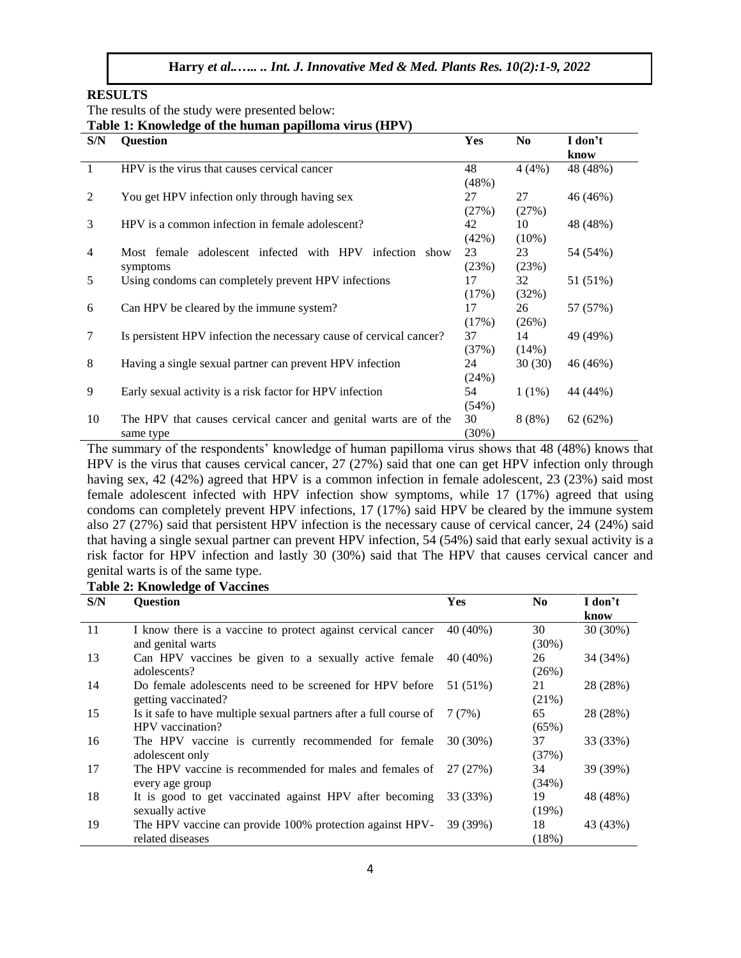#### **RESULTS**

The results of the study were presented below:

**Table 1: Knowledge of the human papilloma virus (HPV)**

| S/N | <b>Question</b>                                                     | Yes      | N <sub>0</sub> | I don't  |
|-----|---------------------------------------------------------------------|----------|----------------|----------|
|     |                                                                     |          |                | know     |
| 1   | HPV is the virus that causes cervical cancer                        | 48       | 4(4%)          | 48 (48%) |
|     |                                                                     | (48%)    |                |          |
| 2   | You get HPV infection only through having sex                       | 27       | 27             | 46 (46%) |
|     |                                                                     | (27%)    | (27%)          |          |
| 3   | HPV is a common infection in female adolescent?                     | 42       | 10             | 48 (48%) |
|     |                                                                     | $(42\%)$ | $(10\%)$       |          |
| 4   | Most female adolescent infected with HPV<br>infection show          | 23       | 23             | 54 (54%) |
|     | symptoms                                                            | (23%)    | (23%)          |          |
| 5   | Using condoms can completely prevent HPV infections                 | 17       | 32             | 51 (51%) |
|     |                                                                     | (17%)    | (32%)          |          |
| 6   | Can HPV be cleared by the immune system?                            | 17       | 26             | 57 (57%) |
|     |                                                                     | (17%)    | (26%)          |          |
| 7   | Is persistent HPV infection the necessary cause of cervical cancer? | 37       | 14             | 49 (49%) |
|     |                                                                     | (37%)    | (14%)          |          |
| 8   | Having a single sexual partner can prevent HPV infection            | 24       | 30(30)         | 46 (46%) |
|     |                                                                     | (24%)    |                |          |
| 9   | Early sexual activity is a risk factor for HPV infection            | 54       | $1(1\%)$       | 44 (44%) |
|     |                                                                     | $(54\%)$ |                |          |
| 10  | The HPV that causes cervical cancer and genital warts are of the    | 30       | 8(8%)          | 62(62%)  |
|     | same type                                                           | (30%)    |                |          |

The summary of the respondents' knowledge of human papilloma virus shows that 48 (48%) knows that HPV is the virus that causes cervical cancer, 27 (27%) said that one can get HPV infection only through having sex, 42 (42%) agreed that HPV is a common infection in female adolescent, 23 (23%) said most female adolescent infected with HPV infection show symptoms, while 17 (17%) agreed that using condoms can completely prevent HPV infections, 17 (17%) said HPV be cleared by the immune system also 27 (27%) said that persistent HPV infection is the necessary cause of cervical cancer, 24 (24%) said that having a single sexual partner can prevent HPV infection, 54 (54%) said that early sexual activity is a risk factor for HPV infection and lastly 30 (30%) said that The HPV that causes cervical cancer and genital warts is of the same type.

#### **Table 2: Knowledge of Vaccines**

| S/N | <b>Ouestion</b>                                                                                | <b>Yes</b> | N <sub>0</sub> | I don't<br>know |
|-----|------------------------------------------------------------------------------------------------|------------|----------------|-----------------|
| 11  | I know there is a vaccine to protect against cervical cancer<br>and genital warts              | 40 (40%)   | 30<br>$(30\%)$ | $30(30\%)$      |
| 13  | Can HPV vaccines be given to a sexually active female<br>adolescents?                          | 40 (40%)   | 26<br>(26%)    | 34 (34%)        |
| 14  | Do female adolescents need to be screened for HPV before<br>getting vaccinated?                | 51 (51%)   | 21<br>(21%)    | 28 (28%)        |
| 15  | Is it safe to have multiple sexual partners after a full course of $7(7%)$<br>HPV vaccination? |            | 65<br>(65%)    | 28 (28%)        |
| 16  | The HPV vaccine is currently recommended for female<br>adolescent only                         | 30 (30%)   | 37<br>(37%)    | 33 (33%)        |
| 17  | The HPV vaccine is recommended for males and females of $27(27%)$<br>every age group           |            | 34<br>(34%)    | 39 (39%)        |
| 18  | It is good to get vaccinated against HPV after becoming<br>sexually active                     | 33 (33%)   | 19<br>(19%)    | 48 (48%)        |
| 19  | The HPV vaccine can provide 100% protection against HPV-<br>related diseases                   | 39 (39%)   | 18<br>(18%)    | 43 (43%)        |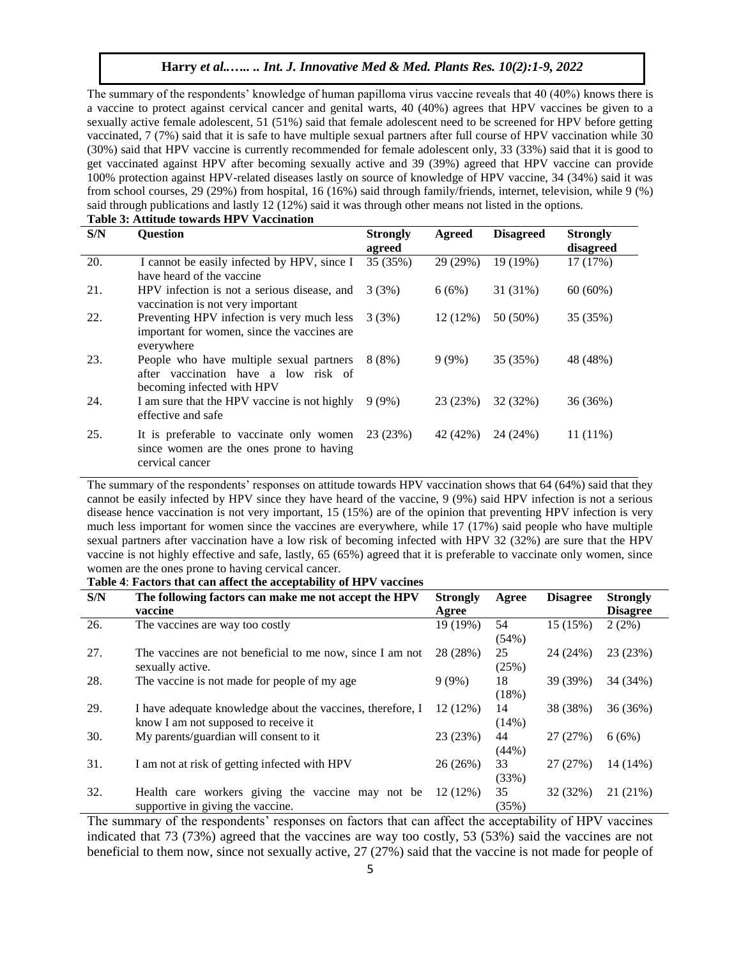The summary of the respondents' knowledge of human papilloma virus vaccine reveals that 40 (40%) knows there is a vaccine to protect against cervical cancer and genital warts, 40 (40%) agrees that HPV vaccines be given to a sexually active female adolescent, 51 (51%) said that female adolescent need to be screened for HPV before getting vaccinated, 7 (7%) said that it is safe to have multiple sexual partners after full course of HPV vaccination while 30 (30%) said that HPV vaccine is currently recommended for female adolescent only, 33 (33%) said that it is good to get vaccinated against HPV after becoming sexually active and 39 (39%) agreed that HPV vaccine can provide 100% protection against HPV-related diseases lastly on source of knowledge of HPV vaccine, 34 (34%) said it was from school courses, 29 (29%) from hospital, 16 (16%) said through family/friends, internet, television, while 9 (%) said through publications and lastly 12 (12%) said it was through other means not listed in the options. **Table 3: Attitude towards HPV Vaccination**

| S/N | <b>Ouestion</b>                                                                                                | <b>Strongly</b><br>agreed | Agreed     | <b>Disagreed</b> | <b>Strongly</b><br>disagreed |  |  |
|-----|----------------------------------------------------------------------------------------------------------------|---------------------------|------------|------------------|------------------------------|--|--|
| 20. | I cannot be easily infected by HPV, since I<br>have heard of the vaccine                                       | 35 (35%)                  | 29 (29%)   | 19 (19%)         | 17 (17%)                     |  |  |
| 21. | HPV infection is not a serious disease, and<br>vaccination is not very important                               | 3(3%)                     | 6(6%)      | 31 (31%)         | $60(60\%)$                   |  |  |
| 22. | Preventing HPV infection is very much less<br>important for women, since the vaccines are<br>everywhere        | 3(3%)                     | $12(12\%)$ | 50 (50%)         | 35 (35%)                     |  |  |
| 23. | People who have multiple sexual partners<br>after vaccination have a low risk of<br>becoming infected with HPV | $8(8\%)$                  | $9(9\%)$   | 35 (35%)         | 48 (48%)                     |  |  |
| 24. | I am sure that the HPV vaccine is not highly<br>effective and safe                                             | $9(9\%)$                  | 23 (23%)   | 32 (32%)         | 36 (36%)                     |  |  |
| 25. | It is preferable to vaccinate only women<br>since women are the ones prone to having<br>cervical cancer        | 23 (23%)                  | 42 (42%)   | 24 (24%)         | $11(11\%)$                   |  |  |

The summary of the respondents' responses on attitude towards HPV vaccination shows that 64 (64%) said that they cannot be easily infected by HPV since they have heard of the vaccine, 9 (9%) said HPV infection is not a serious disease hence vaccination is not very important, 15 (15%) are of the opinion that preventing HPV infection is very much less important for women since the vaccines are everywhere, while 17 (17%) said people who have multiple sexual partners after vaccination have a low risk of becoming infected with HPV 32 (32%) are sure that the HPV vaccine is not highly effective and safe, lastly, 65 (65%) agreed that it is preferable to vaccinate only women, since women are the ones prone to having cervical cancer.

**Table 4**: **Factors that can affect the acceptability of HPV vaccines**

| S/N | The following factors can make me not accept the HPV<br>vaccine                                                | <b>Strongly</b><br>Agree | Agree          | <b>Disagree</b> | <b>Strongly</b><br><b>Disagree</b> |
|-----|----------------------------------------------------------------------------------------------------------------|--------------------------|----------------|-----------------|------------------------------------|
| 26. | The vaccines are way too costly                                                                                | 19 (19%)                 | 54<br>(54%)    | 15 (15%)        | $2(2\%)$                           |
| 27. | The vaccines are not beneficial to me now, since I am not<br>sexually active.                                  | 28 (28%)                 | 25<br>(25%)    | 24 (24%)        | 23 (23%)                           |
| 28. | The vaccine is not made for people of my age                                                                   | $9(9\%)$                 | 18<br>(18%)    | 39 (39%)        | 34 (34%)                           |
| 29. | 12 (12%)<br>I have adequate knowledge about the vaccines, therefore, I<br>know I am not supposed to receive it |                          | 14<br>$(14\%)$ | 38 (38%)        | 36(36%)                            |
| 30. | My parents/guardian will consent to it                                                                         | 23 (23%)                 | 44<br>(44%)    | 27 (27%)        | 6(6%)                              |
| 31. | I am not at risk of getting infected with HPV                                                                  | 26 (26%)                 | 33<br>(33%)    | 27 (27%)        | 14 (14%)                           |
| 32. | Health care workers giving the vaccine may<br>not be<br>supportive in giving the vaccine.                      | 12 (12%)                 | 35<br>(35%)    | 32 (32%)        | 21 (21%)                           |

The summary of the respondents' responses on factors that can affect the acceptability of HPV vaccines indicated that 73 (73%) agreed that the vaccines are way too costly, 53 (53%) said the vaccines are not beneficial to them now, since not sexually active, 27 (27%) said that the vaccine is not made for people of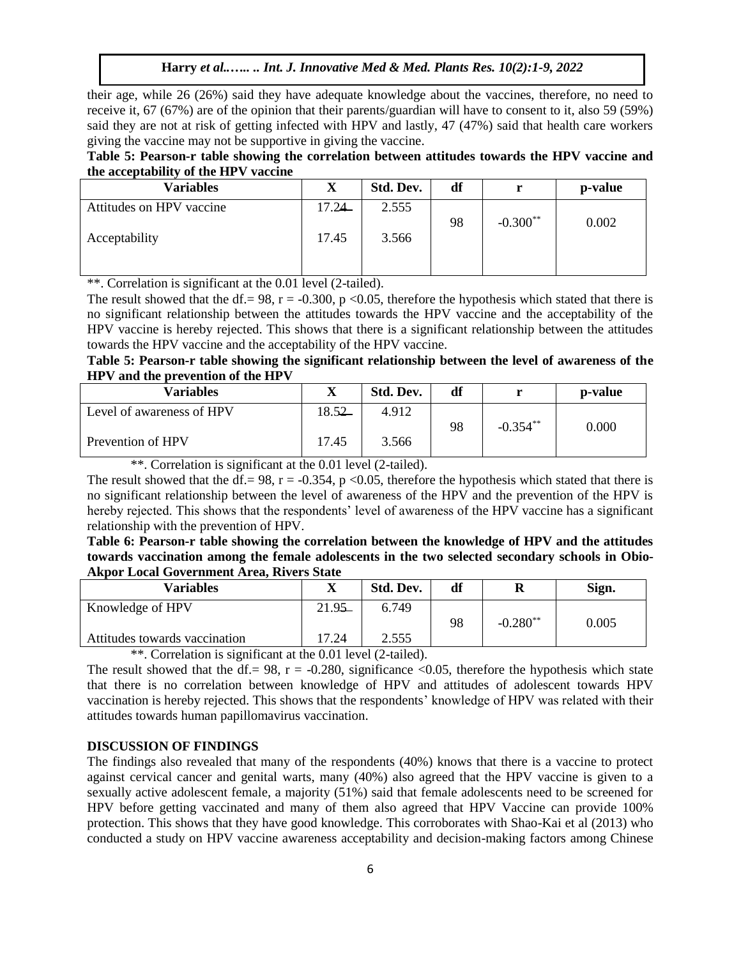their age, while 26 (26%) said they have adequate knowledge about the vaccines, therefore, no need to receive it, 67 (67%) are of the opinion that their parents/guardian will have to consent to it, also 59 (59%) said they are not at risk of getting infected with HPV and lastly, 47 (47%) said that health care workers giving the vaccine may not be supportive in giving the vaccine.

# **Table 5: Pearson-r table showing the correlation between attitudes towards the HPV vaccine and the acceptability of the HPV vaccine**

| <b>Variables</b>         | X     | Std. Dev. | df |            | p-value |
|--------------------------|-------|-----------|----|------------|---------|
| Attitudes on HPV vaccine | 17.24 | 2.555     |    |            |         |
| Acceptability            | 17.45 | 3.566     | 98 | $-0.300**$ | 0.002   |
|                          |       |           |    |            |         |

\*\*. Correlation is significant at the 0.01 level (2-tailed).

The result showed that the df. = 98, r = -0.300, p <0.05, therefore the hypothesis which stated that there is no significant relationship between the attitudes towards the HPV vaccine and the acceptability of the HPV vaccine is hereby rejected. This shows that there is a significant relationship between the attitudes towards the HPV vaccine and the acceptability of the HPV vaccine.

# **Table 5: Pearson-r table showing the significant relationship between the level of awareness of the HPV and the prevention of the HPV**

| Variables                 | △     | Std. Dev. | df |             | p-value |
|---------------------------|-------|-----------|----|-------------|---------|
| Level of awareness of HPV | 8.52  | 4.912     |    | $-0.354***$ |         |
| Prevention of HPV         | 17.45 | 3.566     | 98 |             | 0.000   |

\*\*. Correlation is significant at the 0.01 level (2-tailed).

The result showed that the df. = 98, r = -0.354, p <0.05, therefore the hypothesis which stated that there is no significant relationship between the level of awareness of the HPV and the prevention of the HPV is hereby rejected. This shows that the respondents' level of awareness of the HPV vaccine has a significant relationship with the prevention of HPV.

**Table 6: Pearson-r table showing the correlation between the knowledge of HPV and the attitudes towards vaccination among the female adolescents in the two selected secondary schools in Obio-Akpor Local Government Area, Rivers State**

| Variables                                                                                 | △         | Std. Dev. | df | R           | Sign. |  |  |
|-------------------------------------------------------------------------------------------|-----------|-----------|----|-------------|-------|--|--|
| Knowledge of HPV                                                                          | $21.95 -$ | 6.749     |    |             |       |  |  |
|                                                                                           |           |           | 98 | $-0.280$ ** | 0.005 |  |  |
| Attitudes towards vaccination                                                             | 17.24     | 2.555     |    |             |       |  |  |
| $\psi \psi$ and $\psi$ is the state of $\chi$ and $\chi$ and $\chi$ and $\chi$ and $\chi$ |           |           |    |             |       |  |  |

\*\*. Correlation is significant at the 0.01 level (2-tailed).

The result showed that the df. = 98,  $r = -0.280$ , significance <0.05, therefore the hypothesis which state that there is no correlation between knowledge of HPV and attitudes of adolescent towards HPV vaccination is hereby rejected. This shows that the respondents' knowledge of HPV was related with their attitudes towards human papillomavirus vaccination.

## **DISCUSSION OF FINDINGS**

The findings also revealed that many of the respondents (40%) knows that there is a vaccine to protect against cervical cancer and genital warts, many (40%) also agreed that the HPV vaccine is given to a sexually active adolescent female, a majority (51%) said that female adolescents need to be screened for HPV before getting vaccinated and many of them also agreed that HPV Vaccine can provide 100% protection. This shows that they have good knowledge. This corroborates with Shao-Kai et al (2013) who conducted a study on HPV vaccine awareness acceptability and decision-making factors among Chinese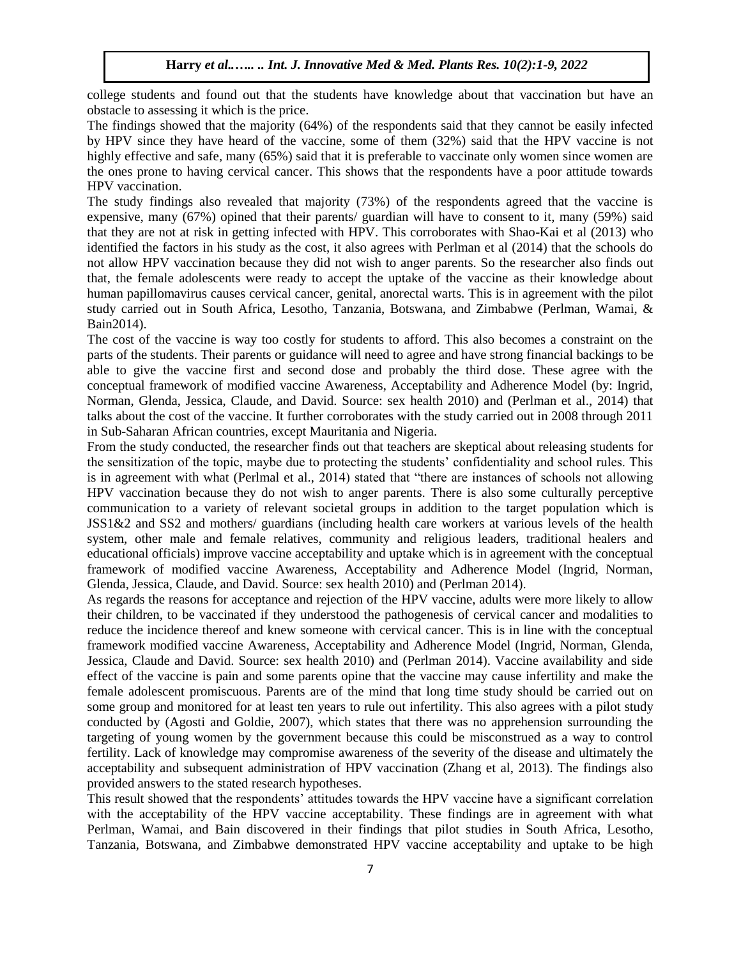college students and found out that the students have knowledge about that vaccination but have an obstacle to assessing it which is the price.

The findings showed that the majority (64%) of the respondents said that they cannot be easily infected by HPV since they have heard of the vaccine, some of them (32%) said that the HPV vaccine is not highly effective and safe, many (65%) said that it is preferable to vaccinate only women since women are the ones prone to having cervical cancer. This shows that the respondents have a poor attitude towards HPV vaccination.

The study findings also revealed that majority (73%) of the respondents agreed that the vaccine is expensive, many (67%) opined that their parents/ guardian will have to consent to it, many (59%) said that they are not at risk in getting infected with HPV. This corroborates with Shao-Kai et al (2013) who identified the factors in his study as the cost, it also agrees with Perlman et al (2014) that the schools do not allow HPV vaccination because they did not wish to anger parents. So the researcher also finds out that, the female adolescents were ready to accept the uptake of the vaccine as their knowledge about human papillomavirus causes cervical cancer, genital, anorectal warts. This is in agreement with the pilot study carried out in South Africa, Lesotho, Tanzania, Botswana, and Zimbabwe (Perlman, Wamai, & Bain2014).

The cost of the vaccine is way too costly for students to afford. This also becomes a constraint on the parts of the students. Their parents or guidance will need to agree and have strong financial backings to be able to give the vaccine first and second dose and probably the third dose. These agree with the conceptual framework of modified vaccine Awareness, Acceptability and Adherence Model (by: Ingrid, Norman, Glenda, Jessica, Claude, and David. Source: sex health 2010) and (Perlman et al., 2014) that talks about the cost of the vaccine. It further corroborates with the study carried out in 2008 through 2011 in Sub-Saharan African countries, except Mauritania and Nigeria.

From the study conducted, the researcher finds out that teachers are skeptical about releasing students for the sensitization of the topic, maybe due to protecting the students' confidentiality and school rules. This is in agreement with what (Perlmal et al., 2014) stated that "there are instances of schools not allowing HPV vaccination because they do not wish to anger parents. There is also some culturally perceptive communication to a variety of relevant societal groups in addition to the target population which is JSS1&2 and SS2 and mothers/ guardians (including health care workers at various levels of the health system, other male and female relatives, community and religious leaders, traditional healers and educational officials) improve vaccine acceptability and uptake which is in agreement with the conceptual framework of modified vaccine Awareness, Acceptability and Adherence Model (Ingrid, Norman, Glenda, Jessica, Claude, and David. Source: sex health 2010) and (Perlman 2014).

As regards the reasons for acceptance and rejection of the HPV vaccine, adults were more likely to allow their children, to be vaccinated if they understood the pathogenesis of cervical cancer and modalities to reduce the incidence thereof and knew someone with cervical cancer. This is in line with the conceptual framework modified vaccine Awareness, Acceptability and Adherence Model (Ingrid, Norman, Glenda, Jessica, Claude and David. Source: sex health 2010) and (Perlman 2014). Vaccine availability and side effect of the vaccine is pain and some parents opine that the vaccine may cause infertility and make the female adolescent promiscuous. Parents are of the mind that long time study should be carried out on some group and monitored for at least ten years to rule out infertility. This also agrees with a pilot study conducted by (Agosti and Goldie, 2007), which states that there was no apprehension surrounding the targeting of young women by the government because this could be misconstrued as a way to control fertility. Lack of knowledge may compromise awareness of the severity of the disease and ultimately the acceptability and subsequent administration of HPV vaccination (Zhang et al, 2013). The findings also provided answers to the stated research hypotheses.

This result showed that the respondents' attitudes towards the HPV vaccine have a significant correlation with the acceptability of the HPV vaccine acceptability. These findings are in agreement with what Perlman, Wamai, and Bain discovered in their findings that pilot studies in South Africa, Lesotho, Tanzania, Botswana, and Zimbabwe demonstrated HPV vaccine acceptability and uptake to be high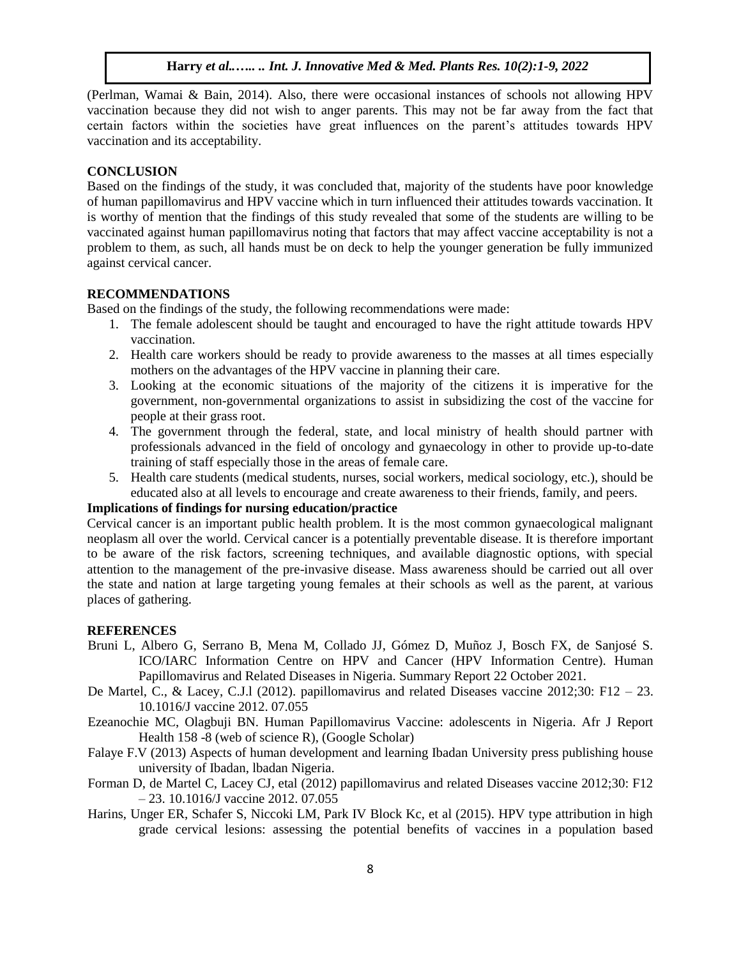(Perlman, Wamai & Bain, 2014). Also, there were occasional instances of schools not allowing HPV vaccination because they did not wish to anger parents. This may not be far away from the fact that certain factors within the societies have great influences on the parent's attitudes towards HPV vaccination and its acceptability.

#### **CONCLUSION**

Based on the findings of the study, it was concluded that, majority of the students have poor knowledge of human papillomavirus and HPV vaccine which in turn influenced their attitudes towards vaccination. It is worthy of mention that the findings of this study revealed that some of the students are willing to be vaccinated against human papillomavirus noting that factors that may affect vaccine acceptability is not a problem to them, as such, all hands must be on deck to help the younger generation be fully immunized against cervical cancer.

## **RECOMMENDATIONS**

Based on the findings of the study, the following recommendations were made:

- 1. The female adolescent should be taught and encouraged to have the right attitude towards HPV vaccination.
- 2. Health care workers should be ready to provide awareness to the masses at all times especially mothers on the advantages of the HPV vaccine in planning their care.
- 3. Looking at the economic situations of the majority of the citizens it is imperative for the government, non-governmental organizations to assist in subsidizing the cost of the vaccine for people at their grass root.
- 4. The government through the federal, state, and local ministry of health should partner with professionals advanced in the field of oncology and gynaecology in other to provide up-to-date training of staff especially those in the areas of female care.
- 5. Health care students (medical students, nurses, social workers, medical sociology, etc.), should be educated also at all levels to encourage and create awareness to their friends, family, and peers.

## **Implications of findings for nursing education/practice**

Cervical cancer is an important public health problem. It is the most common gynaecological malignant neoplasm all over the world. Cervical cancer is a potentially preventable disease. It is therefore important to be aware of the risk factors, screening techniques, and available diagnostic options, with special attention to the management of the pre-invasive disease. Mass awareness should be carried out all over the state and nation at large targeting young females at their schools as well as the parent, at various places of gathering.

#### **REFERENCES**

- Bruni L, Albero G, Serrano B, Mena M, Collado JJ, Gómez D, Muñoz J, Bosch FX, de Sanjosé S. ICO/IARC Information Centre on HPV and Cancer (HPV Information Centre). Human Papillomavirus and Related Diseases in Nigeria. Summary Report 22 October 2021.
- De Martel, C., & Lacey, C.J.l (2012). papillomavirus and related Diseases vaccine 2012;30: F12 23. 10.1016/J vaccine 2012. 07.055
- Ezeanochie MC, Olagbuji BN. Human Papillomavirus Vaccine: adolescents in Nigeria. Afr J Report Health 158 -8 (web of science R), (Google Scholar)
- Falaye F.V (2013) Aspects of human development and learning Ibadan University press publishing house university of Ibadan, lbadan Nigeria.
- Forman D, de Martel C, Lacey CJ, etal (2012) papillomavirus and related Diseases vaccine 2012;30: F12 – 23. 10.1016/J vaccine 2012. 07.055
- Harins, Unger ER, Schafer S, Niccoki LM, Park IV Block Kc, et al (2015). HPV type attribution in high grade cervical lesions: assessing the potential benefits of vaccines in a population based